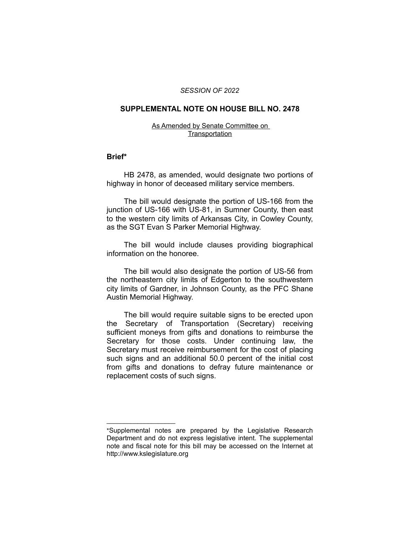#### *SESSION OF 2022*

#### **SUPPLEMENTAL NOTE ON HOUSE BILL NO. 2478**

#### As Amended by Senate Committee on **Transportation**

#### **Brief\***

HB 2478, as amended, would designate two portions of highway in honor of deceased military service members.

The bill would designate the portion of US-166 from the junction of US-166 with US-81, in Sumner County, then east to the western city limits of Arkansas City, in Cowley County, as the SGT Evan S Parker Memorial Highway.

The bill would include clauses providing biographical information on the honoree.

The bill would also designate the portion of US-56 from the northeastern city limits of Edgerton to the southwestern city limits of Gardner, in Johnson County, as the PFC Shane Austin Memorial Highway.

The bill would require suitable signs to be erected upon the Secretary of Transportation (Secretary) receiving sufficient moneys from gifts and donations to reimburse the Secretary for those costs. Under continuing law, the Secretary must receive reimbursement for the cost of placing such signs and an additional 50.0 percent of the initial cost from gifts and donations to defray future maintenance or replacement costs of such signs.

 $\overline{\phantom{a}}$  , where  $\overline{\phantom{a}}$  , where  $\overline{\phantom{a}}$ 

<sup>\*</sup>Supplemental notes are prepared by the Legislative Research Department and do not express legislative intent. The supplemental note and fiscal note for this bill may be accessed on the Internet at http://www.kslegislature.org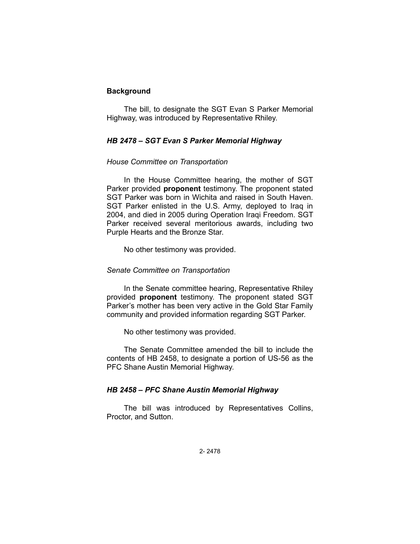# **Background**

The bill, to designate the SGT Evan S Parker Memorial Highway, was introduced by Representative Rhiley.

## *HB 2478 – SGT Evan S Parker Memorial Highway*

## *House Committee on Transportation*

In the House Committee hearing, the mother of SGT Parker provided **proponent** testimony. The proponent stated SGT Parker was born in Wichita and raised in South Haven. SGT Parker enlisted in the U.S. Army, deployed to Iraq in 2004, and died in 2005 during Operation Iraqi Freedom. SGT Parker received several meritorious awards, including two Purple Hearts and the Bronze Star.

No other testimony was provided.

#### *Senate Committee on Transportation*

In the Senate committee hearing, Representative Rhiley provided **proponent** testimony. The proponent stated SGT Parker's mother has been very active in the Gold Star Family community and provided information regarding SGT Parker.

No other testimony was provided.

The Senate Committee amended the bill to include the contents of HB 2458, to designate a portion of US-56 as the PFC Shane Austin Memorial Highway.

### *HB 2458 – PFC Shane Austin Memorial Highway*

The bill was introduced by Representatives Collins, Proctor, and Sutton.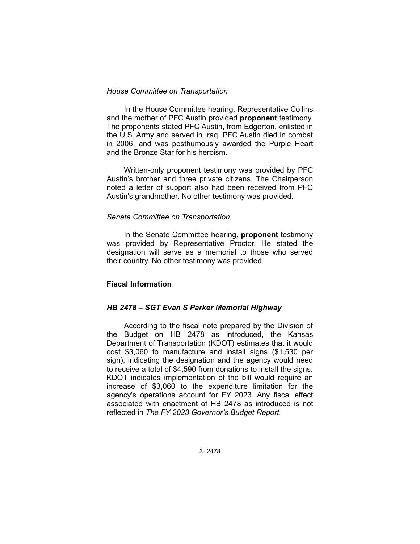## *House Committee on Transportation*

In the House Committee hearing, Representative Collins and the mother of PFC Austin provided **proponent** testimony. The proponents stated PFC Austin, from Edgerton, enlisted in the U.S. Army and served in Iraq. PFC Austin died in combat in 2006, and was posthumously awarded the Purple Heart and the Bronze Star for his heroism.

Written-only proponent testimony was provided by PFC Austin's brother and three private citizens. The Chairperson noted a letter of support also had been received from PFC Austin's grandmother. No other testimony was provided.

## *Senate Committee on Transportation*

In the Senate Committee hearing, **proponent** testimony was provided by Representative Proctor. He stated the designation will serve as a memorial to those who served their country. No other testimony was provided.

# **Fiscal Information**

# *HB 2478 – SGT Evan S Parker Memorial Highway*

According to the fiscal note prepared by the Division of the Budget on HB 2478 as introduced, the Kansas Department of Transportation (KDOT) estimates that it would cost \$3,060 to manufacture and install signs (\$1,530 per sign), indicating the designation and the agency would need to receive a total of \$4,590 from donations to install the signs. KDOT indicates implementation of the bill would require an increase of \$3,060 to the expenditure limitation for the agency's operations account for FY 2023. Any fiscal effect associated with enactment of HB 2478 as introduced is not reflected in *The FY 2023 Governor's Budget Report.*